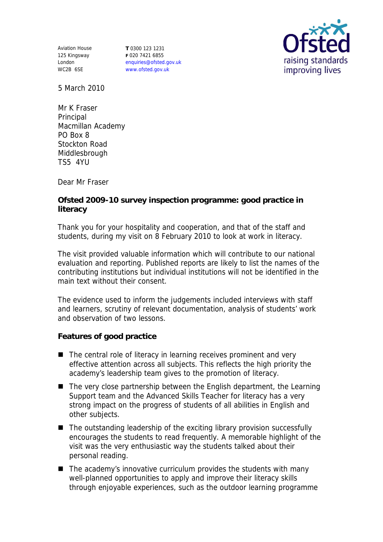Aviation House 125 Kingsway London WC2B 6SE

**T** 0300 123 1231 **F** 020 7421 6855 enquiries@ofsted.gov.uk www.ofsted.gov.uk



5 March 2010

Mr K Fraser Principal Macmillan Academy PO Box 8 Stockton Road Middlesbrough TS5 4YU

Dear Mr Fraser

**Ofsted 2009-10 survey inspection programme: good practice in literacy** 

Thank you for your hospitality and cooperation, and that of the staff and students, during my visit on 8 February 2010 to look at work in literacy.

The visit provided valuable information which will contribute to our national evaluation and reporting. Published reports are likely to list the names of the contributing institutions but individual institutions will not be identified in the main text without their consent.

The evidence used to inform the judgements included interviews with staff and learners, scrutiny of relevant documentation, analysis of students' work and observation of two lessons.

**Features of good practice**

- The central role of literacy in learning receives prominent and very effective attention across all subjects. This reflects the high priority the academy's leadership team gives to the promotion of literacy.
- $\blacksquare$  The very close partnership between the English department, the Learning Support team and the Advanced Skills Teacher for literacy has a very strong impact on the progress of students of all abilities in English and other subjects.
- The outstanding leadership of the exciting library provision successfully encourages the students to read frequently. A memorable highlight of the visit was the very enthusiastic way the students talked about their personal reading.
- $\blacksquare$  The academy's innovative curriculum provides the students with many well-planned opportunities to apply and improve their literacy skills through enjoyable experiences, such as the outdoor learning programme